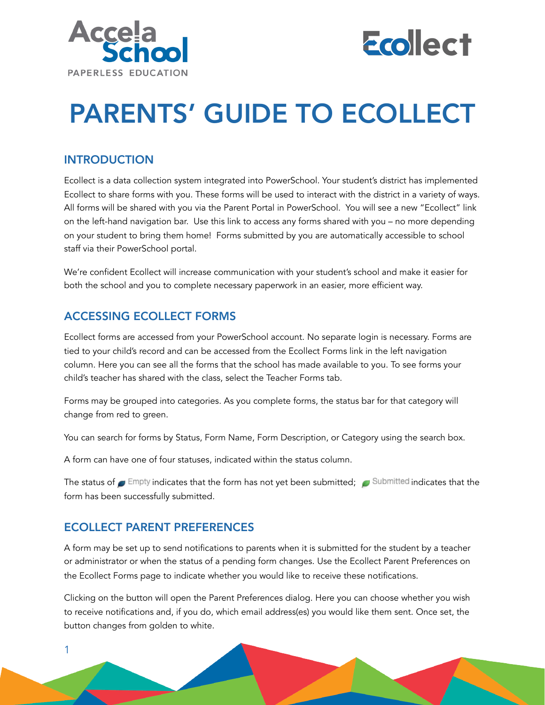



# PARENTS' GUIDE TO ECOLLECT

### INTRODUCTION

Ecollect is a data collection system integrated into PowerSchool. Your student's district has implemented Ecollect to share forms with you. These forms will be used to interact with the district in a variety of ways. All forms will be shared with you via the Parent Portal in PowerSchool. You will see a new "Ecollect" link on the left-hand navigation bar. Use this link to access any forms shared with you – no more depending on your student to bring them home! Forms submitted by you are automatically accessible to school staff via their PowerSchool portal.

We're confident Ecollect will increase communication with your student's school and make it easier for both the school and you to complete necessary paperwork in an easier, more efficient way.

# ACCESSING ECOLLECT FORMS

Ecollect forms are accessed from your PowerSchool account. No separate login is necessary. Forms are tied to your child's record and can be accessed from the Ecollect Forms link in the left navigation column. Here you can see all the forms that the school has made available to you. To see forms your child's teacher has shared with the class, select the Teacher Forms tab.

Forms may be grouped into categories. As you complete forms, the status bar for that category will change from red to green.

You can search for forms by Status, Form Name, Form Description, or Category using the search box.

A form can have one of four statuses, indicated within the status column.

The status of  $\blacksquare$  Empty indicates that the form has not yet been submitted;  $\blacksquare$  Submitted indicates that the form has been successfully submitted.

# ECOLLECT PARENT PREFERENCES

1

A form may be set up to send notifications to parents when it is submitted for the student by a teacher or administrator or when the status of a pending form changes. Use the Ecollect Parent Preferences on the Ecollect Forms page to indicate whether you would like to receive these notifications.

Clicking on the button will open the Parent Preferences dialog. Here you can choose whether you wish to receive notifications and, if you do, which email address(es) you would like them sent. Once set, the button changes from golden to white.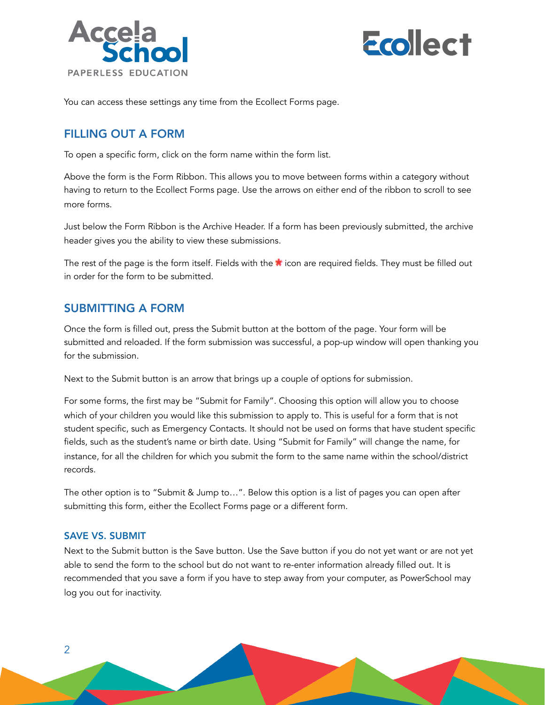



You can access these settings any time from the Ecollect Forms page.

#### FILLING OUT A FORM

To open a specific form, click on the form name within the form list.

Above the form is the Form Ribbon. This allows you to move between forms within a category without having to return to the Ecollect Forms page. Use the arrows on either end of the ribbon to scroll to see more forms.

Just below the Form Ribbon is the Archive Header. If a form has been previously submitted, the archive header gives you the ability to view these submissions.

The rest of the page is the form itself. Fields with the  $\bigstar$  icon are required fields. They must be filled out in order for the form to be submitted.

#### SUBMITTING A FORM

Once the form is filled out, press the Submit button at the bottom of the page. Your form will be submitted and reloaded. If the form submission was successful, a pop-up window will open thanking you for the submission.

Next to the Submit button is an arrow that brings up a couple of options for submission.

For some forms, the first may be "Submit for Family". Choosing this option will allow you to choose which of your children you would like this submission to apply to. This is useful for a form that is not student specific, such as Emergency Contacts. It should not be used on forms that have student specific fields, such as the student's name or birth date. Using "Submit for Family" will change the name, for instance, for all the children for which you submit the form to the same name within the school/district records.

The other option is to "Submit & Jump to…". Below this option is a list of pages you can open after submitting this form, either the Ecollect Forms page or a different form.

#### SAVE VS. SUBMIT

2

Next to the Submit button is the Save button. Use the Save button if you do not yet want or are not yet able to send the form to the school but do not want to re-enter information already filled out. It is recommended that you save a form if you have to step away from your computer, as PowerSchool may log you out for inactivity.